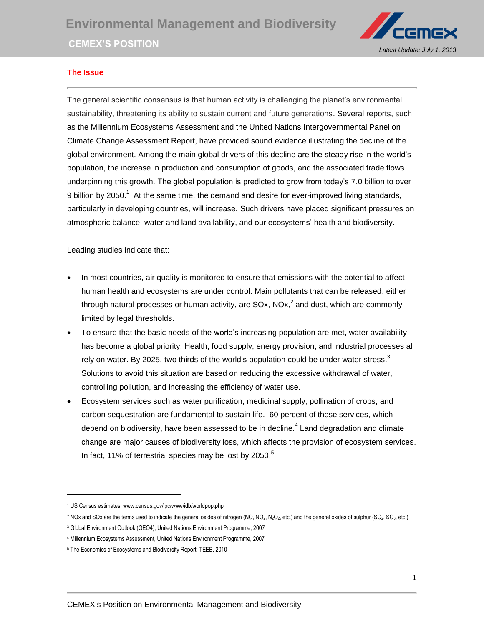

# **The Issue**

The general scientific consensus is that human activity is challenging the planet's environmental sustainability, threatening its ability to sustain current and future generations. Several reports, such as the Millennium Ecosystems Assessment and the United Nations Intergovernmental Panel on Climate Change Assessment Report, have provided sound evidence illustrating the decline of the global environment. Among the main global drivers of this decline are the steady rise in the world's population, the increase in production and consumption of goods, and the associated trade flows underpinning this growth. The global population is predicted to grow from today's 7.0 billion to over 9 billion by 2050.<sup>1</sup> At the same time, the demand and desire for ever-improved living standards, particularly in developing countries, will increase. Such drivers have placed significant pressures on atmospheric balance, water and land availability, and our ecosystems' health and biodiversity.

Leading studies indicate that:

- In most countries, air quality is monitored to ensure that emissions with the potential to affect human health and ecosystems are under control. Main pollutants that can be released, either through natural processes or human activity, are SOx, NOx,<sup>2</sup> and dust, which are commonly limited by legal thresholds.
- To ensure that the basic needs of the world's increasing population are met, water availability has become a global priority. Health, food supply, energy provision, and industrial processes all rely on water. By 2025, two thirds of the world's population could be under water stress. $^3$ Solutions to avoid this situation are based on reducing the excessive withdrawal of water, controlling pollution, and increasing the efficiency of water use.
- Ecosystem services such as water purification, medicinal supply, pollination of crops, and carbon sequestration are fundamental to sustain life. 60 percent of these services, which depend on biodiversity, have been assessed to be in decline.<sup>4</sup> Land degradation and climate change are major causes of biodiversity loss, which affects the provision of ecosystem services. In fact, 11% of terrestrial species may be lost by 2050.<sup>5</sup>

l

<sup>1</sup> US Census estimates: www.census.gov/ipc/www/idb/worldpop.php

<sup>&</sup>lt;sup>2</sup> NOx and SOx are the terms used to indicate the general oxides of nitrogen (NO, NO<sub>2</sub>, N<sub>2</sub>O<sub>2</sub>, etc.) and the general oxides of sulphur (SO<sub>2</sub>, SO<sub>3</sub>, etc.)

<sup>3</sup> Global Environment Outlook (GEO4), United Nations Environment Programme, 2007

<sup>4</sup> Millennium Ecosystems Assessment, United Nations Environment Programme, 2007

<sup>5</sup> The Economics of Ecosystems and Biodiversity Report, TEEB, 2010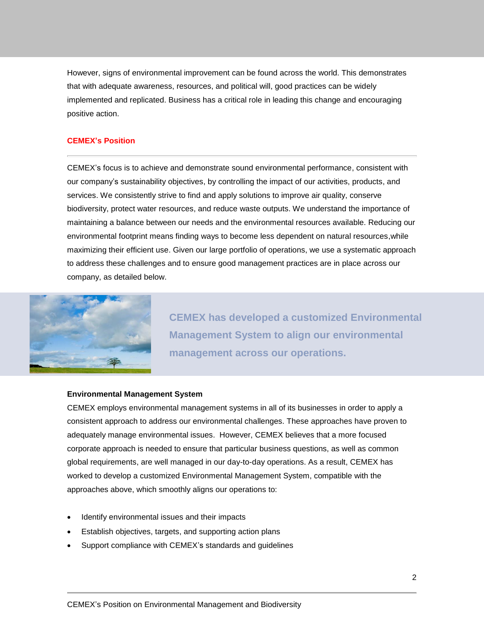However, signs of environmental improvement can be found across the world. This demonstrates that with adequate awareness, resources, and political will, good practices can be widely implemented and replicated. Business has a critical role in leading this change and encouraging positive action.

## **CEMEX's Position**

CEMEX's focus is to achieve and demonstrate sound environmental performance, consistent with our company's sustainability objectives, by controlling the impact of our activities, products, and services. We consistently strive to find and apply solutions to improve air quality, conserve biodiversity, protect water resources, and reduce waste outputs. We understand the importance of maintaining a balance between our needs and the environmental resources available. Reducing our environmental footprint means finding ways to become less dependent on natural resources,while maximizing their efficient use. Given our large portfolio of operations, we use a systematic approach to address these challenges and to ensure good management practices are in place across our company, as detailed below.



**CEMEX has developed a customized Environmental Management System to align our environmental management across our operations.**

## **Environmental Management System**

CEMEX employs environmental management systems in all of its businesses in order to apply a consistent approach to address our environmental challenges. These approaches have proven to adequately manage environmental issues. However, CEMEX believes that a more focused corporate approach is needed to ensure that particular business questions, as well as common global requirements, are well managed in our day-to-day operations. As a result, CEMEX has worked to develop a customized Environmental Management System, compatible with the approaches above, which smoothly aligns our operations to:

- Identify environmental issues and their impacts
- Establish objectives, targets, and supporting action plans
- Support compliance with CEMEX's standards and guidelines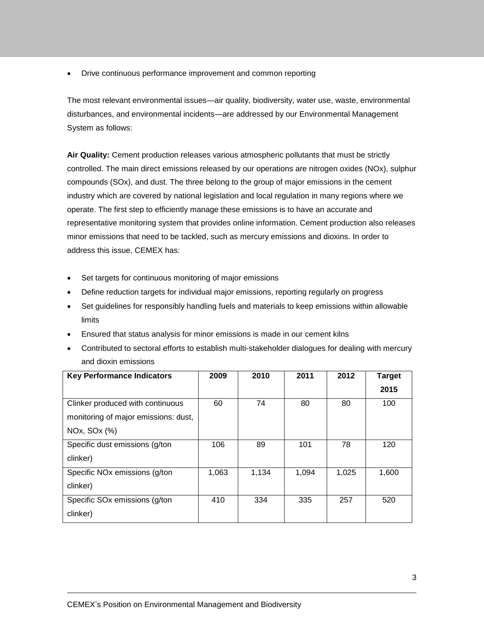Drive continuous performance improvement and common reporting

The most relevant environmental issues—air quality, biodiversity, water use, waste, environmental disturbances, and environmental incidents—are addressed by our Environmental Management System as follows:

**Air Quality:** Cement production releases various atmospheric pollutants that must be strictly controlled. The main direct emissions released by our operations are nitrogen oxides (NOx), sulphur compounds (SOx), and dust. The three belong to the group of major emissions in the cement industry which are covered by national legislation and local regulation in many regions where we operate. The first step to efficiently manage these emissions is to have an accurate and representative monitoring system that provides online information. Cement production also releases minor emissions that need to be tackled, such as mercury emissions and dioxins. In order to address this issue, CEMEX has:

- Set targets for continuous monitoring of major emissions
- Define reduction targets for individual major emissions, reporting regularly on progress
- Set guidelines for responsibly handling fuels and materials to keep emissions within allowable limits
- Ensured that status analysis for minor emissions is made in our cement kilns
- Contributed to sectoral efforts to establish multi-stakeholder dialogues for dealing with mercury and dioxin emissions

| <b>Key Performance Indicators</b>         | 2009  | 2010  | 2011  | 2012  | <b>Target</b> |
|-------------------------------------------|-------|-------|-------|-------|---------------|
|                                           |       |       |       |       | 2015          |
| Clinker produced with continuous          | 60    | 74    | 80    | 80    | 100           |
| monitoring of major emissions: dust,      |       |       |       |       |               |
| NOx, SOx (%)                              |       |       |       |       |               |
| Specific dust emissions (g/ton            | 106   | 89    | 101   | 78    | 120           |
| clinker)                                  |       |       |       |       |               |
| Specific NO <sub>x</sub> emissions (g/ton | 1,063 | 1.134 | 1.094 | 1,025 | 1,600         |
| clinker)                                  |       |       |       |       |               |
| Specific SOx emissions (g/ton             | 410   | 334   | 335   | 257   | 520           |
| clinker)                                  |       |       |       |       |               |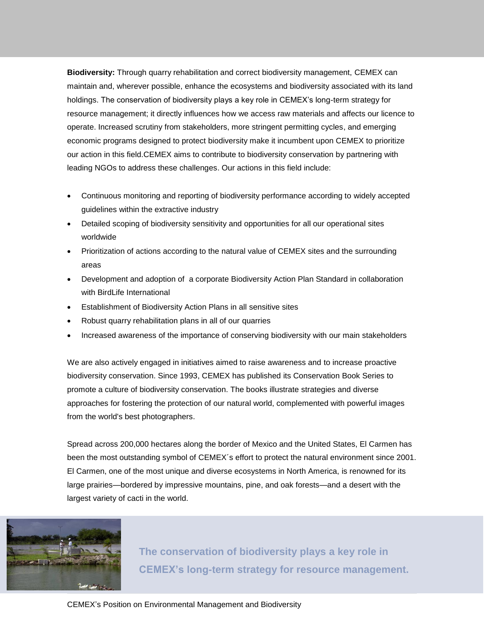**Biodiversity:** Through quarry rehabilitation and correct biodiversity management, CEMEX can maintain and, wherever possible, enhance the ecosystems and biodiversity associated with its land holdings. The conservation of biodiversity plays a key role in CEMEX's long-term strategy for resource management; it directly influences how we access raw materials and affects our licence to operate. Increased scrutiny from stakeholders, more stringent permitting cycles, and emerging economic programs designed to protect biodiversity make it incumbent upon CEMEX to prioritize our action in this field.CEMEX aims to contribute to biodiversity conservation by partnering with leading NGOs to address these challenges. Our actions in this field include:

- Continuous monitoring and reporting of biodiversity performance according to widely accepted guidelines within the extractive industry
- Detailed scoping of biodiversity sensitivity and opportunities for all our operational sites worldwide
- Prioritization of actions according to the natural value of CEMEX sites and the surrounding areas
- Development and adoption of a corporate Biodiversity Action Plan Standard in collaboration with BirdLife International
- Establishment of Biodiversity Action Plans in all sensitive sites
- Robust quarry rehabilitation plans in all of our quarries
- Increased awareness of the importance of conserving biodiversity with our main stakeholders

We are also actively engaged in initiatives aimed to raise awareness and to increase proactive biodiversity conservation. Since 1993, CEMEX has published its Conservation Book Series to promote a culture of biodiversity conservation. The books illustrate strategies and diverse approaches for fostering the protection of our natural world, complemented with powerful images from the world's best photographers.

Spread across 200,000 hectares along the border of Mexico and the United States, El Carmen has been the most outstanding symbol of CEMEX´s effort to protect the natural environment since 2001. El Carmen, one of the most unique and diverse ecosystems in North America, is renowned for its large prairies—bordered by impressive mountains, pine, and oak forests—and a desert with the largest variety of cacti in the world.



**The conservation of biodiversity plays a key role in CEMEX's long-term strategy for resource management.**

## CEMEX's Position on Environmental Management and Biodiversity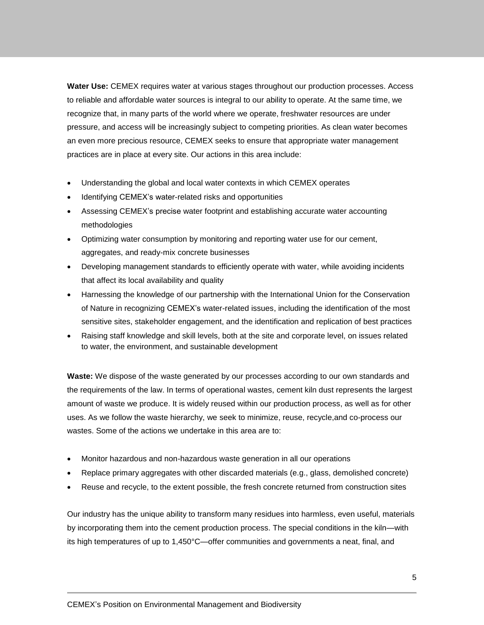**Water Use:** CEMEX requires water at various stages throughout our production processes. Access to reliable and affordable water sources is integral to our ability to operate. At the same time, we recognize that, in many parts of the world where we operate, freshwater resources are under pressure, and access will be increasingly subject to competing priorities. As clean water becomes an even more precious resource, CEMEX seeks to ensure that appropriate water management practices are in place at every site. Our actions in this area include:

- Understanding the global and local water contexts in which CEMEX operates
- Identifying CEMEX's water-related risks and opportunities
- Assessing CEMEX's precise water footprint and establishing accurate water accounting methodologies
- Optimizing water consumption by monitoring and reporting water use for our cement, aggregates, and ready-mix concrete businesses
- Developing management standards to efficiently operate with water, while avoiding incidents that affect its local availability and quality
- Harnessing the knowledge of our partnership with the International Union for the Conservation of Nature in recognizing CEMEX's water-related issues, including the identification of the most sensitive sites, stakeholder engagement, and the identification and replication of best practices
- Raising staff knowledge and skill levels, both at the site and corporate level, on issues related to water, the environment, and sustainable development

**Waste:** We dispose of the waste generated by our processes according to our own standards and the requirements of the law. In terms of operational wastes, cement kiln dust represents the largest amount of waste we produce. It is widely reused within our production process, as well as for other uses. As we follow the waste hierarchy, we seek to minimize, reuse, recycle,and co-process our wastes. Some of the actions we undertake in this area are to:

- Monitor hazardous and non-hazardous waste generation in all our operations
- Replace primary aggregates with other discarded materials (e.g., glass, demolished concrete)
- Reuse and recycle, to the extent possible, the fresh concrete returned from construction sites

Our industry has the unique ability to transform many residues into harmless, even useful, materials by incorporating them into the cement production process. The special conditions in the kiln—with its high temperatures of up to 1,450°C—offer communities and governments a neat, final, and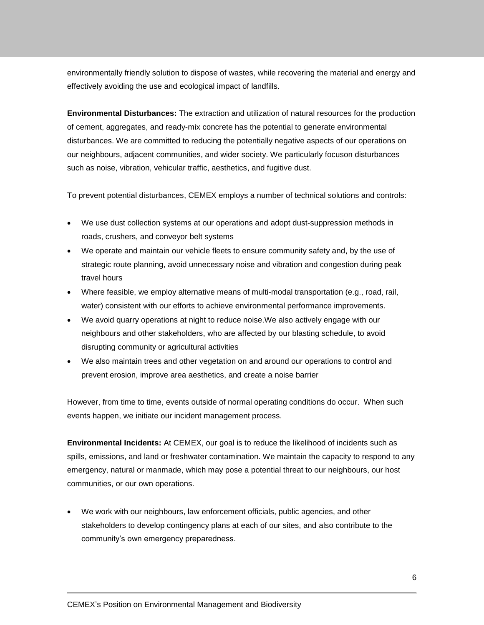environmentally friendly solution to dispose of wastes, while recovering the material and energy and effectively avoiding the use and ecological impact of landfills.

**Environmental Disturbances:** The extraction and utilization of natural resources for the production of cement, aggregates, and ready-mix concrete has the potential to generate environmental disturbances. We are committed to reducing the potentially negative aspects of our operations on our neighbours, adjacent communities, and wider society. We particularly focuson disturbances such as noise, vibration, vehicular traffic, aesthetics, and fugitive dust.

To prevent potential disturbances, CEMEX employs a number of technical solutions and controls:

- We use dust collection systems at our operations and adopt dust-suppression methods in roads, crushers, and conveyor belt systems
- We operate and maintain our vehicle fleets to ensure community safety and, by the use of strategic route planning, avoid unnecessary noise and vibration and congestion during peak travel hours
- Where feasible, we employ alternative means of multi-modal transportation (e.g., road, rail, water) consistent with our efforts to achieve environmental performance improvements.
- We avoid quarry operations at night to reduce noise.We also actively engage with our neighbours and other stakeholders, who are affected by our blasting schedule, to avoid disrupting community or agricultural activities
- We also maintain trees and other vegetation on and around our operations to control and prevent erosion, improve area aesthetics, and create a noise barrier

However, from time to time, events outside of normal operating conditions do occur. When such events happen, we initiate our incident management process.

**Environmental Incidents:** At CEMEX, our goal is to reduce the likelihood of incidents such as spills, emissions, and land or freshwater contamination. We maintain the capacity to respond to any emergency, natural or manmade, which may pose a potential threat to our neighbours, our host communities, or our own operations.

 We work with our neighbours, law enforcement officials, public agencies, and other stakeholders to develop contingency plans at each of our sites, and also contribute to the community's own emergency preparedness.